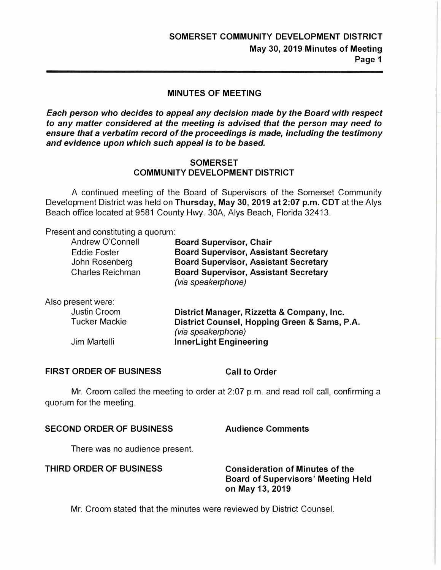#### **MINUTES OF MEETING**

*Each person who decides to appeal any decision made by the Board with respect to any matter considered at the meeting is advised that the person may need to ensure that a verbatim record of the proceedings is made, including the testimony and evidence upon which such appeal is to be based.* 

#### **SOMERSET COMMUNITY DEVELOPMENT DISTRICT**

A continued meeting of the Board of Supervisors of the Somerset Community Development District was held on **Thursday, May 30, 2019 at 2:07 p.m. CDT** at the Alys Beach office located at 9581 County Hwy. 30A, Alys Beach, Florida 32413.

Present and constituting a quorum:

| Andrew O'Connell                          | <b>Board Supervisor, Chair</b>                                                                                     |
|-------------------------------------------|--------------------------------------------------------------------------------------------------------------------|
| <b>Eddie Foster</b>                       | <b>Board Supervisor, Assistant Secretary</b>                                                                       |
| John Rosenberg<br><b>Charles Reichman</b> | <b>Board Supervisor, Assistant Secretary</b><br><b>Board Supervisor, Assistant Secretary</b><br>(via speakerphone) |

| Also present were:   |                                              |
|----------------------|----------------------------------------------|
| Justin Croom         | District Manager, Rizzetta & Company, Inc.   |
| <b>Tucker Mackie</b> | District Counsel, Hopping Green & Sams, P.A. |
|                      | (via speakerphone)                           |
| Jim Martelli         | <b>InnerLight Engineering</b>                |

#### **FIRST ORDER OF BUSINESS Call to Order**

Mr. Croom called the meeting to order at 2:07 p.m. and read roll call, confirming a quorum for the meeting.

#### **SECOND ORDER OF BUSINESS Audience Comments**

There was no audience present.

**THIRD ORDER OF BUSINESS Consideration of Minutes of the Board of Supervisors' Meeting Held on May 13, 2019** 

Mr. Croom stated that the minutes were reviewed by District Counsel.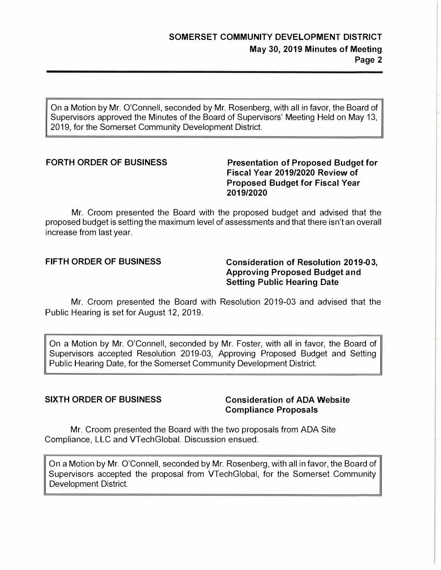*On a Motion by Mr. O'Connell, seconded by Mr. Rosenberg, with all in favor, the Board of Supervisors approved the Minutes of the Board of Supervisors' Meeting Held on May 13, 2019, for the Somerset Community Development District.* 

### FORTH ORDER OF BUSINESS Presentation of Proposed Budget for **Fiscal Year 2019/2020 Review of Proposed Budget for Fiscal Year 2019/2020**

*Mr. Croom presented the Board with the proposed budget and advised that the proposed budget is setting the maximum level of assessments and that there isn't an overall increase from last year.* 

### **FIFTH ORDER OF BUSINESS Consideration of Resolution 2019-03, Approving Proposed Budget and Setting Public Hearing Date**

*Mr. Croom presented the Board with Resolution 2019-03 and advised that the Public Hearing is set for August 12, 2019.* 

*On a Motion by Mr. O'Connell, seconded by Mr. Foster, with all in favor, the Board of* Supervisors accepted Resolution 2019-03, Approving Proposed Budget and Setting *Public Hearing Date, for the Somerset Community Development District.* 

#### **SIXTH ORDER OF BUSINESS Consideration of ADA Website Compliance Proposals**

*Mr. Croom presented the Board with the two proposals from ADA Site Compliance, LLC and VTechGlobal. Discussion ensued.* 

*On a Motion by Mr. O'Connell, seconded by Mr. Rosenberg, with all in favor, the Board of*  Supervisors accepted the proposal from VTechGlobal, for the Somerset Community *Development District.*